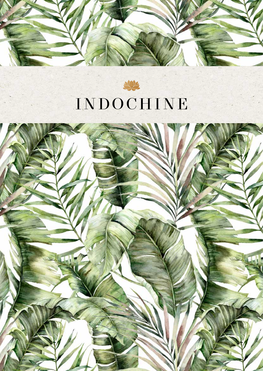



# INDOCHINE

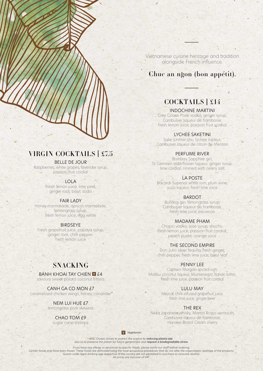VIRGIN COCKTAILS | £7.5

#### BELLE DE JOUR

Raspberries, white grapes, lavender syrup, passion fruit cordial

LOLA

Fresh lemon juice, lime peel, ginger root, basil, soda

#### FAIR LADY

Honey marmalade, apricot marmalade, lemongrass syrup, fresh lemon juice, egg white

BIRDSEYE

Fresh grapefruit juice, papaya syrup, ginger root, chilli pepper, fresh lemon juice

### **SNACKING**

BANH KHOAI TAY CHIEN **V** £4

savoury sweet potato coconut fritters

CANH GA CO MON £7 caramelised chicken wings, honey, coriander

> NEM LUI HUE £7 lemongrass pork skewers

> > CHAO TOM £9 sugar cane shrimps

Vietnamese cuisine heritage and tradition alongside French influence.

### Chuc an ngon (bon appétit).

# COCKTAILS | £14

#### INDOCHINE MARTINI

Grey Goose Poire vodka, ginger syrup, Cambusier liqueur de framboise, fresh lemon juice, passion fruit cordial

#### LYCHEE SAKETINI

Sake junmai-shu, lychee liqueur, Cambusier liqueur de citron de Menton

#### PERFUME RIVER

Bombay Sapphire gin, St-Germain elderflower liqueur, ginger syrup, lime cordial, rimmed with celery salt

LA POSTE

Bacardi Superior white rum, plum wine, yuzu liqueur, fresh lime juice

#### BARDOT

Bulldog gin, lemongrass syrup, Cambusier liqueur de framboise, fresh lime juice, prosecco

#### MADAME PHAM

Chopin vodka, rose syrup, shochu, fresh lemon juice, passion fruit cordial, peach purée, orange juice

#### THE SECOND EMPIRE

Don Julio silver tequila, fresh ginger, chilli pepper, fresh lime juice, basil leaf

#### PENNY LEE

Captain Morgan spiced rum, Malibu coconut liqueur, Montenegro Italian bitter, fresh lime juice, passion fruit cordial

#### LULU MAY

Mezcal, chilli-infused grapefruit juice, fresh lime juice, ginger beer

#### THE REX

Nikka Japanese whisky, Martini Rosso vermouth, Cambusier liqueur de framboise, Harveys Bristol Cream sherry

*Vegetarian*

*MSC Cruises strives to protect the oceans by reducing plastic use. Join us to preserve the planet for future generations and request a biodegradable straw.*

*If you have any allergy or sensitivity to specific foods, please notify our staff before ordering.* Certain foods may have been frozen. These foods are defrosted using the most scrupulous procedures that do not alter the organoleptic qualities of the products.<br>Guests under legal drinking age respective of the country are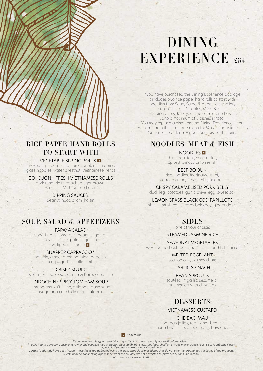# DINING EXPERIENCE £54

If you have purchased the Dining Experience package, it includes two rice paper hand rolls to start with, one dish from Soup, Salad & Appetizers section, one dish from Noodles, Meat & Fish including one side of your choice and one Dessert up to a maximum of 3 dishes in total. You may replace a dish from the Dining Experience menu with one from the à la carte menu for 50% of the listed price. You can also order any additional dish at full price.

# NOODLES, MEAT & FISH

NOODLES V thin udon, tofu, vegetables, spiced tomato onion relish

BEEF BO BUN rice noodles, marinated beef, carrot, daikon, fresh herbs, peanuts

CRISPY CARAMELISED PORK BELLY duck leg, potatoes, garlic chive, egg, sweet soy

LEMONGRASS BLACK COD PAPILLOTE shimeji mushrooms, baby bok choy, ginger dashi

# SIDES

(one of your choice)

#### STEAMED JASMINE RICE

SEASONAL VEGETABLES wok sautéed with basil, garlic, chilli and fish sauce

> MELTED EGGPLANT scallion oil, yuzu soy cham

> > GARLIC SPINACH

BEAN SPROUTS sautéed in garlic, sesame oil and served with chive tips

# **DESSERTS**

VIETNAMESE CUSTARD

CHE BAO MAU

pandan jellies, red kidney beans, mung beans, coconut cream, shaved ice

*Vegetarian*

*If you have any allergy or sensitivity to specific foods, please notify our staff before ordering.*

\* Public health advisory: Consuming raw or undercooked meats (poultry, beef, lamb, pork, etc.), seafood, shellfish or eggs may increase your risk of foodborne illness,<br>especially if you have certain medical conditions.

Certain foods may have been frozen. These foods are defrosted using the most scrupulous procedures that do not alter the organoleptic qualities of the products.<br>Guests under legal drinking age respective of the country are

# RICE PAPER HAND ROLLS TO START WITH

#### **VEGETABLE SPRING ROLLS V**

smoked chilli bean curd, taro, carrot, mushrooms, glass noodles, water chestnut, Vietnamese herbs

GOI CUON - FRESH VIETNAMESE ROLLS

pork tenderloin, poached tiger prawn, vermicelli, Vietnamese herbs

#### DIPPING SAUCES:

peanut, nuoc cham, hoisin

# SOUP, SALAD & APPETIZERS

#### PAPAYA SALAD

long beans, tomatoes, peanuts, garlic, fish sauce, lime, palm sugar, chilli without fish sauce **v** 

#### SNAPPER CARPACCIO\*

pomelo, ginger dressing, pickled radish, crispy garlic, scallion oil

#### CRISPY SQUID

wild rocket, spicy salsa rosa & barbecued lime

#### INDOCHINE SPICY TOM YAM SOUP

lemongrass, kaffir lime, galangal base soup (vegetarian or chicken or seafood)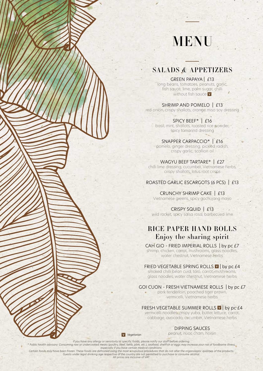# MENU

## SALADS & APPETIZERS

GREEN PAPAYA | £13 long beans, tomatoes, peanuts, garlic, fish sauce, lime, palm sugar, chilli without fish sauce **V** 

SHRIMP AND POMELO | £13 red onion, crispy shallots, orange miso soy dressing

SPICY BEEF\* | £16 basil, mint, shallots, roasted rice powder, spicy tamarind dressing

SNAPPER CARPACCIO\* | £16 pomelo, ginger dressing, pickled radish, crispy garlic, scallion oil

WAGYU BEEF TARTARE\* | £27 chilli lime dressing, cucumber, Vietnamese herbs, crispy shallots, lotus root crisps

ROASTED GARLIC ESCARGOTS (6 PCS) | £13

CRUNCHY SHRIMP CAKE | £13 Vietnamese greens, spicy gochujang mayo

CRISPY SQUID | £13  $\sim$   $\sim$ wild rocket, spicy salsa rosa, barbecued lime

# RICE PAPER HAND ROLLS Enjoy the sharing spirit

CAH GIO - FRIED IMPERIAL ROLLS | by pc £7

shrimp, chicken, carrot, mushrooms, glass noodles, water chestnut, Vietnamese herbs

FRIED VEGETABLE SPRING ROLLS **V** by pc £4

smoked chilli bean curd, taro, carrot, mushrooms, glass noodles, water chestnut, Vietnamese herbs

GOI CUON - FRESH VIETNAMESE ROLLS | by pc £7

pork tenderloin, poached tiger prawn, vermicelli, Vietnamese herbs

FRESH VEGETABLE SUMMER ROLLS **II** by pc £4

vermicelli noodles, crispy yuba, butter lettuce, carrot, cabbage, avocado, cucumber, Vietnamese herbs

#### DIPPING SAUCES

peanut, nuoc cham, hoisin

*Vegetarian*

If you have any allergy or sensitivity to specific foods, please notify our staff before ordering.<br>Public health advisory: Consuming raw or undercooked meats (poultry, beef, lamb, pork, etc.), seafood, shellfish or eggs ma *Certain foods may have been frozen. These foods are defrosted using the most scrupulous procedures that do not alter the organoleptic qualities of the products.*

*Guests under legal drinking age respective of the country are not permitted to purchase or consume alcohol. All prices are inclusive of VAT.*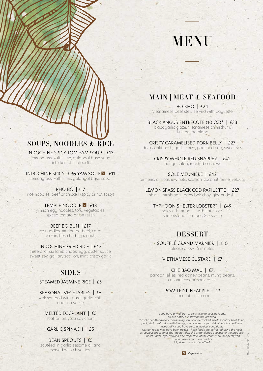# MENU

# MAIN | MEAT & SEAFOOD

BO KHO | £24 Vietnamese beef stew served with baguette

BLACK ANGUS ENTRECOTE (10 OZ)\* | £33 black garlic glaze, Vietnamese chimichurri, Koji beurre blanc

CRISPY CARAMELISED PORK BELLY | £27 duck confit hash, garlic chive, poached egg, sweet soy

> CRISPY WHOLE RED SNAPPER | £42 mango salad, roasted cashews

SOLE MEUNIÈRE | £42 turmeric, dill, cashew nuts, scallion, coconut fennel velouté

LEMONGRASS BLACK COD PAPILOTTE | £27 shimeji mushroom, baby bok choy, ginger dashi

TYPHOON SHELTER LOBSTER\* | £49 spicy e-fu noodles with flat chive, shallots and scallions, XO sauce

## DESSERT

SOUFFLÉ GRAND MARNIER | £10 please allow 15 minutes

#### VIETNAMESE CUSTARD | £7

CHE BAO MAU | £7 pandan jellies, red kidney beans, mung beans, coconut cream, shaved ice

> ROASTED PINEAPPLE | £9 coconut ice cream

*If you have any allergy or sensitivity to specific foods, please notify our staff before ordering. \* Public health advisory: Consuming raw or undercooked meats (poultry, beef, lamb, pork, etc.), seafood, shellfish or eggs may increase your risk of foodborne illness, especially if you have certain medical conditions.* Certain foods may have been frozen. These foods are defrosted using the most<br>scrupulous procedures that do not alter the organoleptic qualities of the products.<br>Guests under legal drinking age respective of the country are *to purchase or consume alcohol. All prices are inclusive of VAT.*

MSC F&B 0021UK - ENG

## SOUPS, NOODLES & RICE

INDOCHINE SPICY TOM YAM SOUP | £13 lemongrass, kaffir lime, galangal base soup (chicken or seafood)

INDOCHINE SPICY TOM YAM SOUP  $|I|$  £11 lemongrass, kaffir lime, galangal base soup

PHO BO | £17 rice noodles, beef or chicken (spicy or not spicy)

#### TEMPLE NOODLE V | £13

yi mian egg noodles, tofu, vegetables, spiced tomato onion relish

BEEF BO BUN | £17

rice noodles, marinated beef, carrot, daikon, fresh herbs, peanuts

#### INDOCHINE FRIED RICE  $|142\rangle$

three char siu lamb chops, egg, oyster sauce, sweet soy, gai lan, scallion, mint, crispy garlic

## SIDES

STEAMED JASMINE RICE | £5

SEASONAL VEGETABLES | £5 wok sautéed with basil, garlic, chilli and fish sauce

MELTED EGGPLANT | £5 scallion oil, yuzu soy cham

GARLIC SPINACH | £5

BEAN SPROUTS | £5 sautéed in garlic, sesame oil and served with chive tips

*Vegetarian*